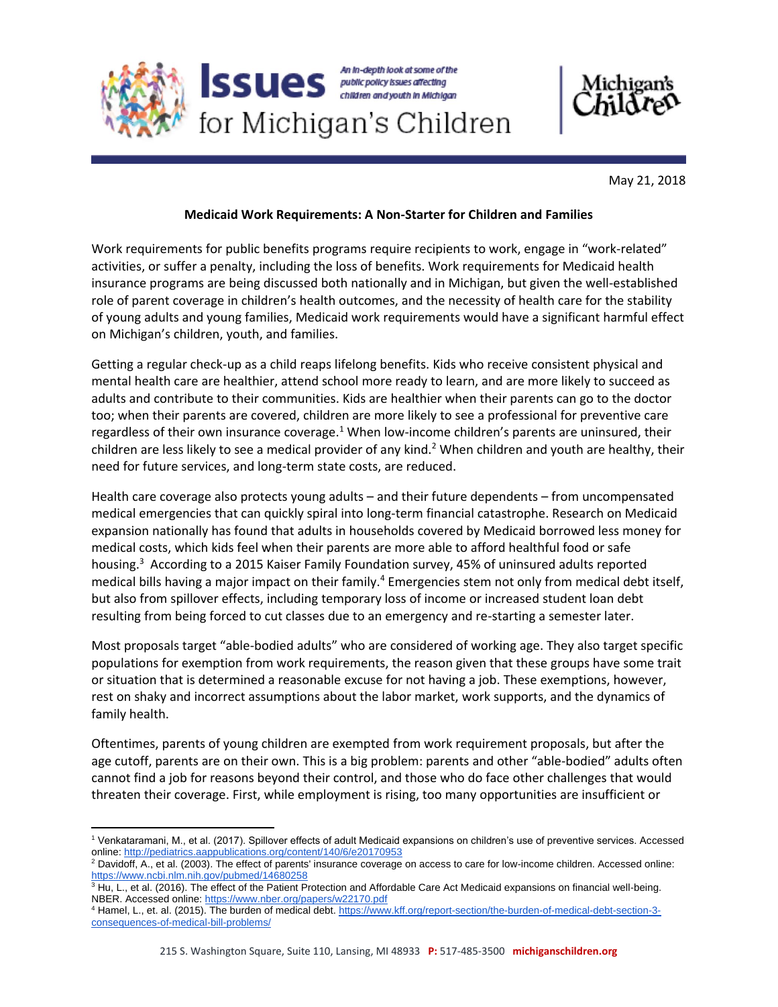

May 21, 2018

## **Medicaid Work Requirements: A Non-Starter for Children and Families**

Work requirements for public benefits programs require recipients to work, engage in "work-related" activities, or suffer a penalty, including the loss of benefits. Work requirements for Medicaid health insurance programs are being discussed both nationally and in Michigan, but given the well-established role of parent coverage in children's health outcomes, and the necessity of health care for the stability of young adults and young families, Medicaid work requirements would have a significant harmful effect on Michigan's children, youth, and families.

Getting a regular check-up as a child reaps lifelong benefits. Kids who receive consistent physical and mental health care are healthier, attend school more ready to learn, and are more likely to succeed as adults and contribute to their communities. Kids are healthier when their parents can go to the doctor too; when their parents are covered, children are more likely to see a professional for preventive care regardless of their own insurance coverage.<sup>1</sup> When low-income children's parents are uninsured, their children are less likely to see a medical provider of any kind.<sup>2</sup> When children and youth are healthy, their need for future services, and long-term state costs, are reduced.

Health care coverage also protects young adults – and their future dependents – from uncompensated medical emergencies that can quickly spiral into long-term financial catastrophe. Research on Medicaid expansion nationally has found that adults in households covered by Medicaid borrowed less money for medical costs, which kids feel when their parents are more able to afford healthful food or safe housing.<sup>3</sup> According to a 2015 Kaiser Family Foundation survey, 45% of uninsured adults reported medical bills having a major impact on their family.<sup>4</sup> Emergencies stem not only from medical debt itself, but also from spillover effects, including temporary loss of income or increased student loan debt resulting from being forced to cut classes due to an emergency and re-starting a semester later.

Most proposals target "able-bodied adults" who are considered of working age. They also target specific populations for exemption from work requirements, the reason given that these groups have some trait or situation that is determined a reasonable excuse for not having a job. These exemptions, however, rest on shaky and incorrect assumptions about the labor market, work supports, and the dynamics of family health.

Oftentimes, parents of young children are exempted from work requirement proposals, but after the age cutoff, parents are on their own. This is a big problem: parents and other "able-bodied" adults often cannot find a job for reasons beyond their control, and those who do face other challenges that would threaten their coverage. First, while employment is rising, too many opportunities are insufficient or

 $\overline{\phantom{a}}$ 

<sup>1</sup> Venkataramani, M., et al. (2017). Spillover effects of adult Medicaid expansions on children's use of preventive services. Accessed online:<http://pediatrics.aappublications.org/content/140/6/e20170953>

<sup>2</sup> Davidoff, A., et al. (2003). The effect of parents' insurance coverage on access to care for low-income children. Accessed online: <https://www.ncbi.nlm.nih.gov/pubmed/14680258>

 $3$  Hu, L., et al. (2016). The effect of the Patient Protection and Affordable Care Act Medicaid expansions on financial well-being. NBER. Accessed online[: https://www.nber.org/papers/w22170.pdf](https://www.nber.org/papers/w22170.pdf)

<sup>4</sup> Hamel, L., et. al. (2015). The burden of medical debt. [https://www.kff.org/report-section/the-burden-of-medical-debt-section-3](https://www.kff.org/report-section/the-burden-of-medical-debt-section-3-consequences-of-medical-bill-problems/) [consequences-of-medical-bill-problems/](https://www.kff.org/report-section/the-burden-of-medical-debt-section-3-consequences-of-medical-bill-problems/)